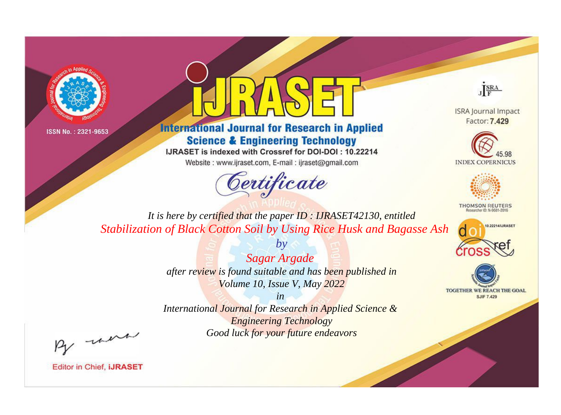



**International Journal for Research in Applied Science & Engineering Technology** 

IJRASET is indexed with Crossref for DOI-DOI: 10.22214

Website: www.ijraset.com, E-mail: ijraset@gmail.com



JERA

**ISRA Journal Impact** Factor: 7.429





**THOMSON REUTERS** 



TOGETHER WE REACH THE GOAL **SJIF 7.429** 

*It is here by certified that the paper ID : IJRASET42130, entitled Stabilization of Black Cotton Soil by Using Rice Husk and Bagasse Ash*

> *Sagar Argade after review is found suitable and has been published in Volume 10, Issue V, May 2022*

*by*

*in* 

*International Journal for Research in Applied Science & Engineering Technology Good luck for your future endeavors*

By morn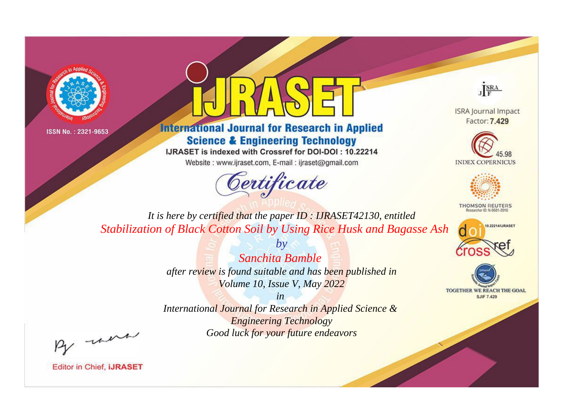



**International Journal for Research in Applied Science & Engineering Technology** 

IJRASET is indexed with Crossref for DOI-DOI: 10.22214

Website: www.ijraset.com, E-mail: ijraset@gmail.com



JERA

**ISRA Journal Impact** Factor: 7.429





**THOMSON REUTERS** 



TOGETHER WE REACH THE GOAL **SJIF 7.429** 

*It is here by certified that the paper ID : IJRASET42130, entitled Stabilization of Black Cotton Soil by Using Rice Husk and Bagasse Ash*

> *Sanchita Bamble after review is found suitable and has been published in Volume 10, Issue V, May 2022*

*by*

*in* 

*International Journal for Research in Applied Science & Engineering Technology Good luck for your future endeavors*

By morn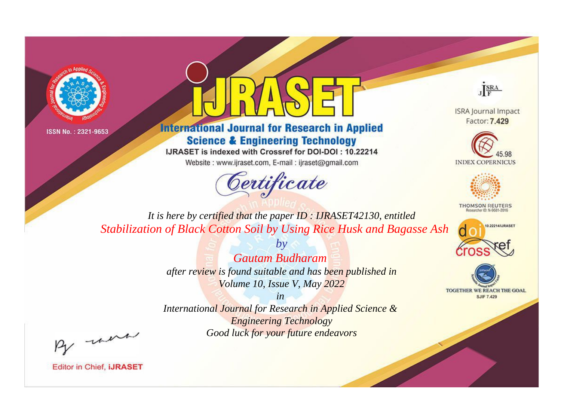



**International Journal for Research in Applied Science & Engineering Technology** 

IJRASET is indexed with Crossref for DOI-DOI: 10.22214

Website: www.ijraset.com, E-mail: ijraset@gmail.com



JERA

**ISRA Journal Impact** Factor: 7.429





**THOMSON REUTERS** 



TOGETHER WE REACH THE GOAL **SJIF 7.429** 

*It is here by certified that the paper ID : IJRASET42130, entitled Stabilization of Black Cotton Soil by Using Rice Husk and Bagasse Ash*

> *Gautam Budharam after review is found suitable and has been published in Volume 10, Issue V, May 2022*

*by*

*in* 

*International Journal for Research in Applied Science & Engineering Technology Good luck for your future endeavors*

By morn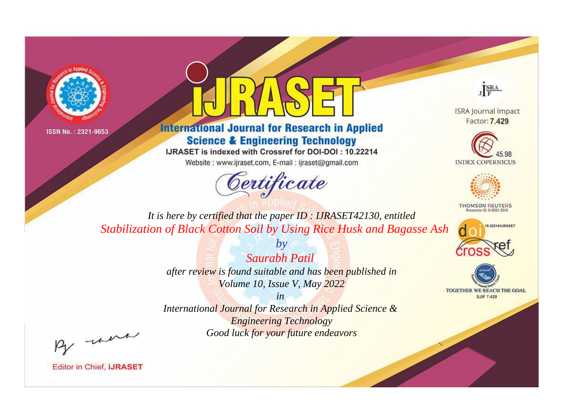



**International Journal for Research in Applied Science & Engineering Technology** 

IJRASET is indexed with Crossref for DOI-DOI: 10.22214

Website: www.ijraset.com, E-mail: ijraset@gmail.com



JERA

**ISRA Journal Impact** Factor: 7.429





**THOMSON REUTERS** 



TOGETHER WE REACH THE GOAL **SJIF 7.429** 

*It is here by certified that the paper ID : IJRASET42130, entitled Stabilization of Black Cotton Soil by Using Rice Husk and Bagasse Ash*

> *Saurabh Patil after review is found suitable and has been published in Volume 10, Issue V, May 2022*

*by*

*in* 

*International Journal for Research in Applied Science & Engineering Technology Good luck for your future endeavors*

By morn